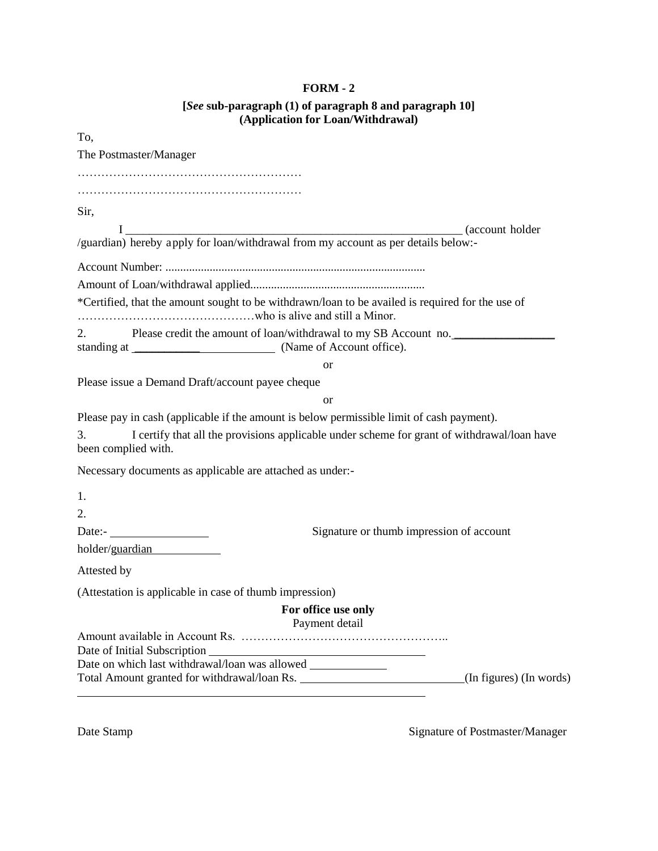## **FORM - 2 [***See* **sub-paragraph (1) of paragraph 8 and paragraph 10]**

| (Application for Loan/Withdrawal)                                                                                        |
|--------------------------------------------------------------------------------------------------------------------------|
| To,                                                                                                                      |
| The Postmaster/Manager                                                                                                   |
|                                                                                                                          |
|                                                                                                                          |
| Sir,                                                                                                                     |
|                                                                                                                          |
| I (account holder /guardian) hereby apply for loan/withdrawal from my account as per details below:-                     |
|                                                                                                                          |
|                                                                                                                          |
| *Certified, that the amount sought to be withdrawn/loan to be availed is required for the use of                         |
| Please credit the amount of loan/withdrawal to my SB Account no.<br>2.                                                   |
| <b>or</b>                                                                                                                |
| Please issue a Demand Draft/account payee cheque                                                                         |
| <b>or</b>                                                                                                                |
| Please pay in cash (applicable if the amount is below permissible limit of cash payment).                                |
| I certify that all the provisions applicable under scheme for grant of withdrawal/loan have<br>3.<br>been complied with. |
| Necessary documents as applicable are attached as under:-                                                                |
| 1.                                                                                                                       |
| 2.                                                                                                                       |
| Date:- $\_$<br>Signature or thumb impression of account                                                                  |
| holder/guardian                                                                                                          |
| Attested by                                                                                                              |
| (Attestation is applicable in case of thumb impression)                                                                  |
| For office use only<br>Payment detail                                                                                    |
|                                                                                                                          |
| Date of Initial Subscription _<br><u> 1980 - Johann Barn, fransk politik amerikansk politik (d. 1980)</u>                |
| Total Amount granted for withdrawal/loan Rs.<br>(In figures) (In words)                                                  |
|                                                                                                                          |

Date Stamp Signature of Postmaster/Manager